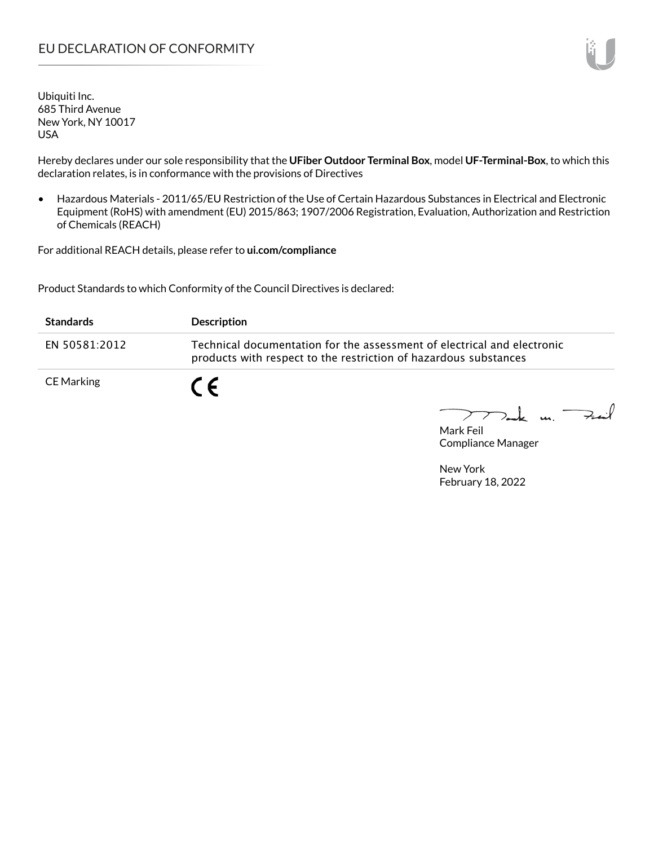## EU DECLARATION OF CONFORMITY

Ubiquiti Inc. 685 Third Avenue New York, NY 10017 USA

Hereby declares under our sole responsibility that the **UFiber Outdoor Terminal Box**, model **UF-Terminal-Box**, to which this declaration relates, is in conformance with the provisions of Directives

• Hazardous Materials - 2011/65/EU Restriction of the Use of Certain Hazardous Substances in Electrical and Electronic Equipment (RoHS) with amendment (EU) 2015/863; 1907/2006 Registration, Evaluation, Authorization and Restriction of Chemicals (REACH)

For additional REACH details, please refer to **ui.com/compliance**

Product Standards to which Conformity of the Council Directives is declared:

| <b>Standards</b> | <b>Description</b>                                                                                                                          |
|------------------|---------------------------------------------------------------------------------------------------------------------------------------------|
| EN 50581:2012    | Technical documentation for the assessment of electrical and electronic<br>products with respect to the restriction of hazardous substances |
| CE Marking       | $\epsilon$                                                                                                                                  |

 $k$  m.  $\rightarrow$  $\sum$ 

Mark Feil Compliance Manager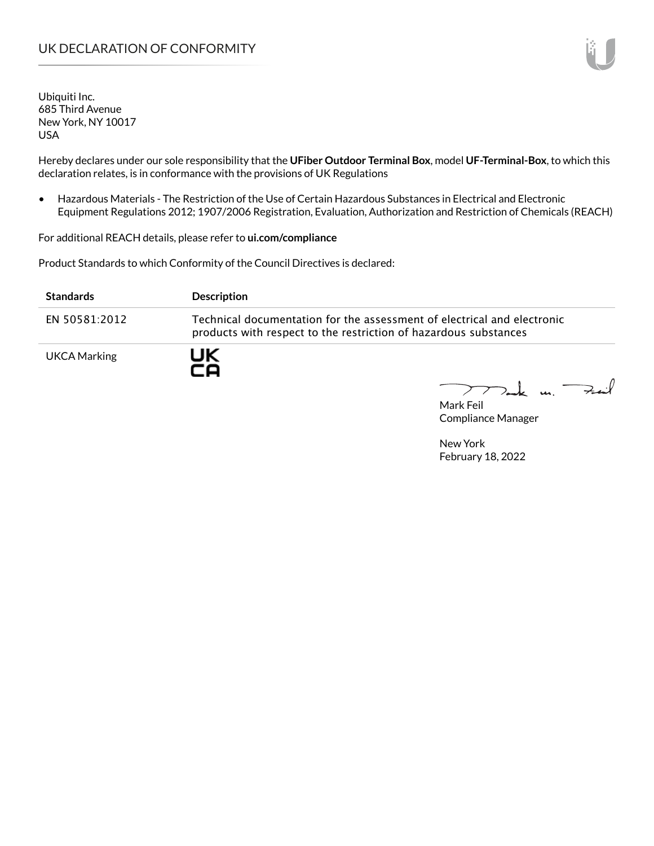### UK DECLARATION OF CONFORMITY

Ubiquiti Inc. 685 Third Avenue New York, NY 10017 USA

Hereby declares under our sole responsibility that the **UFiber Outdoor Terminal Box**, model **UF-Terminal-Box**, to which this declaration relates, is in conformance with the provisions of UK Regulations

• Hazardous Materials - The Restriction of the Use of Certain Hazardous Substances in Electrical and Electronic Equipment Regulations 2012; 1907/2006 Registration, Evaluation, Authorization and Restriction of Chemicals (REACH)

For additional REACH details, please refer to **ui.com/compliance**

Product Standards to which Conformity of the Council Directives is declared:

| <b>Standards</b>    | <b>Description</b>                                                                                                                          |
|---------------------|---------------------------------------------------------------------------------------------------------------------------------------------|
| EN 50581:2012       | Technical documentation for the assessment of electrical and electronic<br>products with respect to the restriction of hazardous substances |
| <b>UKCA Marking</b> | UK<br>ro                                                                                                                                    |

 $77$  and us.  $+...$ 

Mark Feil Compliance Manager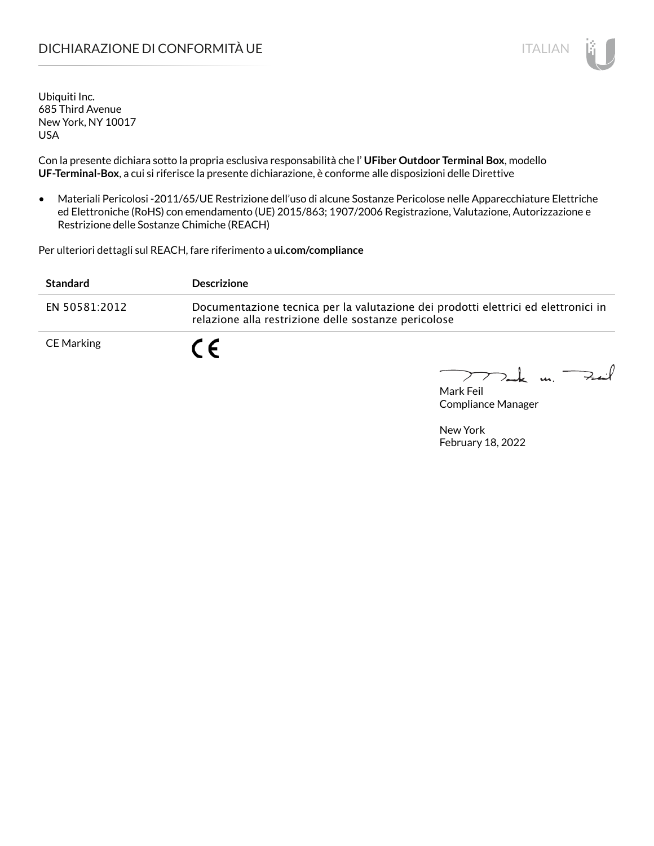## DICHIARAZIONE DI CONFORMITÀ UE ITALIAN ITALIAN

Ubiquiti Inc. 685 Third Avenue New York, NY 10017 USA

Con la presente dichiara sotto la propria esclusiva responsabilità che l' **UFiber Outdoor Terminal Box**, modello **UF-Terminal-Box**, a cui si riferisce la presente dichiarazione, è conforme alle disposizioni delle Direttive

• Materiali Pericolosi -2011/65/UE Restrizione dell'uso di alcune Sostanze Pericolose nelle Apparecchiature Elettriche ed Elettroniche (RoHS) con emendamento (UE) 2015/863; 1907/2006 Registrazione, Valutazione, Autorizzazione e Restrizione delle Sostanze Chimiche (REACH)

Per ulteriori dettagli sul REACH, fare riferimento a **ui.com/compliance**

| <b>Standard</b>   | <b>Descrizione</b>                                                                                                                         |
|-------------------|--------------------------------------------------------------------------------------------------------------------------------------------|
| EN 50581:2012     | Documentazione tecnica per la valutazione dei prodotti elettrici ed elettronici in<br>relazione alla restrizione delle sostanze pericolose |
| <b>CE Marking</b> | $\epsilon$                                                                                                                                 |

 $\text{I}$  m. Fail

Mark Feil Compliance Manager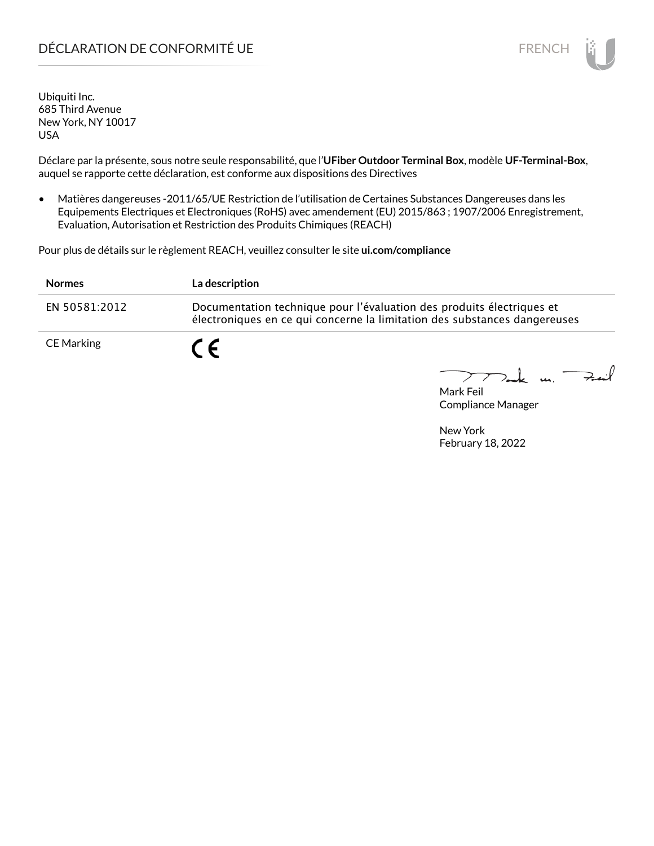# DÉCLARATION DE CONFORMITÉ UE EN ENCHANGEMENT DE CONFORMITÉ UNE ENCHANGEMENT DE CONFORMITÉ UNE ENCHANGEMENT DE

Ubiquiti Inc. 685 Third Avenue New York, NY 10017 USA

Déclare par la présente, sous notre seule responsabilité, que l'**UFiber Outdoor Terminal Box**, modèle **UF-Terminal-Box**, auquel se rapporte cette déclaration, est conforme aux dispositions des Directives

• Matières dangereuses -2011/65/UE Restriction de l'utilisation de Certaines Substances Dangereuses dans les Equipements Electriques et Electroniques (RoHS) avec amendement (EU) 2015/863 ; 1907/2006 Enregistrement, Evaluation, Autorisation et Restriction des Produits Chimiques (REACH)

Pour plus de détails sur le règlement REACH, veuillez consulter le site **ui.com/compliance**

| <b>Normes</b> | La description                                                                                                                                     |  |
|---------------|----------------------------------------------------------------------------------------------------------------------------------------------------|--|
| EN 50581:2012 | Documentation technique pour l'évaluation des produits électriques et<br>électroniques en ce qui concerne la limitation des substances dangereuses |  |
| CE Marking    | C E                                                                                                                                                |  |

 $\downarrow$  m  $\rightarrow$  $\geq$ 

Mark Feil Compliance Manager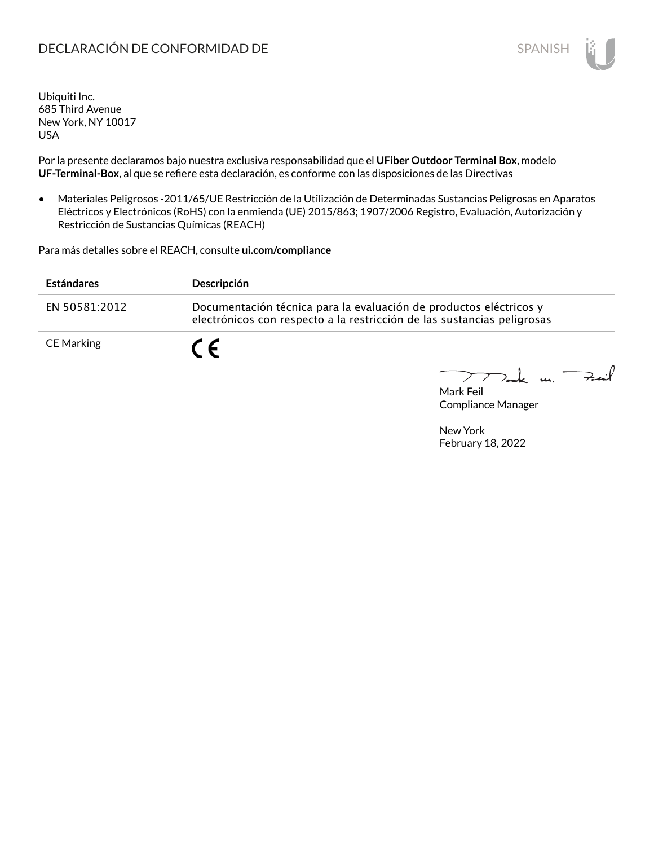# DECLARACIÓN DE CONFORMIDAD DE **SPANISH**

Ubiquiti Inc. 685 Third Avenue New York, NY 10017 USA

Por la presente declaramos bajo nuestra exclusiva responsabilidad que el **UFiber Outdoor Terminal Box**, modelo **UF-Terminal-Box**, al que se refiere esta declaración, es conforme con las disposiciones de las Directivas

• Materiales Peligrosos -2011/65/UE Restricción de la Utilización de Determinadas Sustancias Peligrosas en Aparatos Eléctricos y Electrónicos (RoHS) con la enmienda (UE) 2015/863; 1907/2006 Registro, Evaluación, Autorización y Restricción de Sustancias Químicas (REACH)

Para más detalles sobre el REACH, consulte **ui.com/compliance**

| <b>Estándares</b> | Descripción                                                                                                                                   |
|-------------------|-----------------------------------------------------------------------------------------------------------------------------------------------|
| EN 50581:2012     | Documentación técnica para la evaluación de productos eléctricos y<br>electrónicos con respecto a la restricción de las sustancias peligrosas |
| CE Marking        | $\epsilon$                                                                                                                                    |

 $k$  un  $\rightarrow$  $\geq$ 

Mark Feil Compliance Manager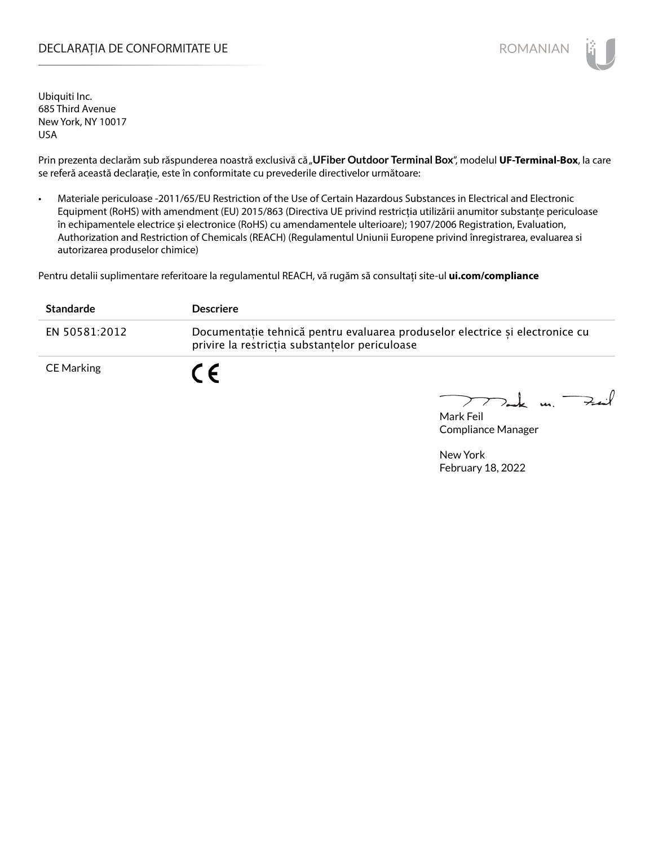#### DECLARAȚIA DE CONFORMITATE UE EXECUTE DE ROMANIAN

Ubiquiti Inc. 685 Third Avenue New York, NY 10017 USA

Prin prezenta declarăm sub răspunderea noastră exclusivă că "UFiber Outdoor Terminal Box", modelul UF-Terminal-Box, la care se referă această declarație, este în conformitate cu prevederile directivelor următoare:

• Materiale periculoase -2011/65/EU Restriction of the Use of Certain Hazardous Substances in Electrical and Electronic Equipment (RoHS) with amendment (EU) 2015/863 (Directiva UE privind restricția utilizării anumitor substanțe periculoase în echipamentele electrice și electronice (RoHS) cu amendamentele ulterioare); 1907/2006 Registration, Evaluation, Authorization and Restriction of Chemicals (REACH) (Regulamentul Uniunii Europene privind înregistrarea, evaluarea si autorizarea produselor chimice)

Pentru detalii suplimentare referitoare la regulamentul REACH, vă rugăm să consultați site-ul **ui.com/compliance**

| <b>Standarde</b> | <b>Descriere</b>                                                                                                               |
|------------------|--------------------------------------------------------------------------------------------------------------------------------|
| EN 50581:2012    | Documentatie tehnică pentru evaluarea produselor electrice și electronice cu<br>privire la restrictia substantelor periculoase |
| CE Marking       | CE                                                                                                                             |

Tak un Fait

Mark Feil Compliance Manager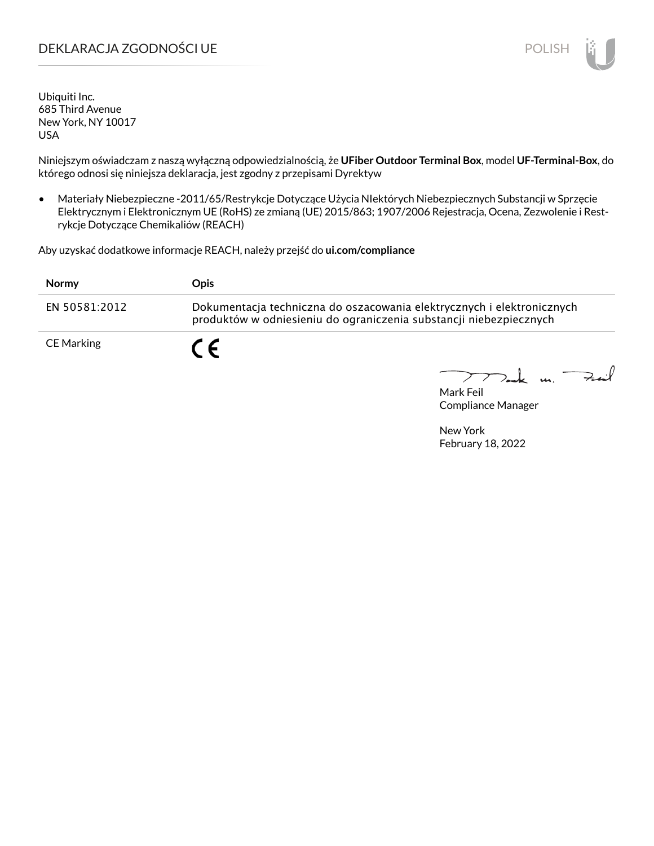### DEKLARACJA ZGODNOŚCI UE POLISH POLISH

Ubiquiti Inc. 685 Third Avenue New York, NY 10017 USA

Niniejszym oświadczam z naszą wyłączną odpowiedzialnością, że **UFiber Outdoor Terminal Box**, model **UF-Terminal-Box**, do którego odnosi się niniejsza deklaracja, jest zgodny z przepisami Dyrektyw

• Materiały Niebezpieczne -2011/65/Restrykcje Dotyczące Użycia NIektórych Niebezpiecznych Substancji w Sprzęcie Elektrycznym i Elektronicznym UE (RoHS) ze zmianą (UE) 2015/863; 1907/2006 Rejestracja, Ocena, Zezwolenie i Restrykcje Dotyczące Chemikaliów (REACH)

Aby uzyskać dodatkowe informacje REACH, należy przejść do **ui.com/compliance**

| <b>Normy</b>  | Opis.                                                                                                                                        |
|---------------|----------------------------------------------------------------------------------------------------------------------------------------------|
| EN 50581:2012 | Dokumentacja techniczna do oszacowania elektrycznych i elektronicznych<br>produktów w odniesieniu do ograniczenia substancji niebezpiecznych |
| CE Marking    | C F                                                                                                                                          |

 $k$  un  $\rightarrow$ 

Mark Feil Compliance Manager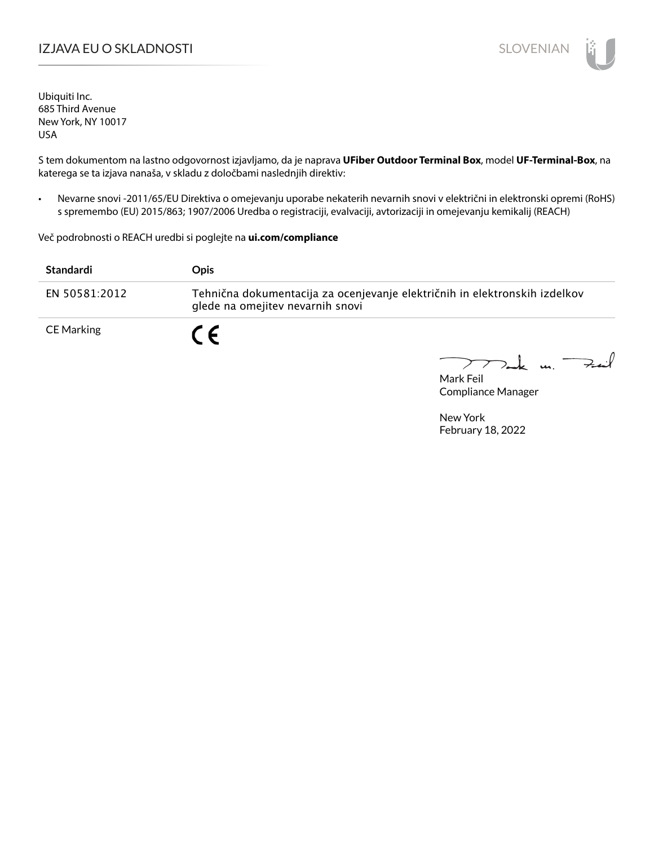# I**ZJAVA EU O SKLADNOSTI** SLOVENIAN

Ubiquiti Inc. 685 Third Avenue New York, NY 10017 USA

S tem dokumentom na lastno odgovornost izjavljamo, da je naprava **UFiber Outdoor Terminal Box**, model **UF-Terminal-Box**, na katerega se ta izjava nanaša, v skladu z določbami naslednjih direktiv:

• Nevarne snovi -2011/65/EU Direktiva o omejevanju uporabe nekaterih nevarnih snovi v električni in elektronski opremi (RoHS) s spremembo (EU) 2015/863; 1907/2006 Uredba o registraciji, evalvaciji, avtorizaciji in omejevanju kemikalij (REACH)

Več podrobnosti o REACH uredbi si poglejte na **ui.com/compliance**

| Standardi     | <b>Opis</b>                                                                                                    |
|---------------|----------------------------------------------------------------------------------------------------------------|
| EN 50581:2012 | Tehnična dokumentacija za ocenjevanje električnih in elektronskih izdelkov<br>glede na omejitev nevarnih snovi |
| CE Marking    |                                                                                                                |

 $\mu$   $\rightarrow$ 

Mark Feil Compliance Manager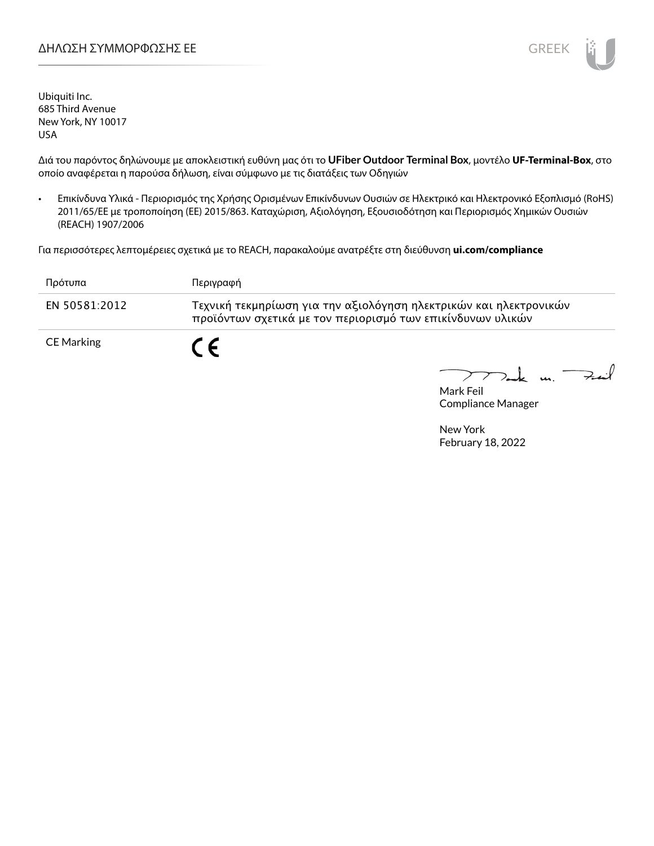Ubiquiti Inc. 685 Third Avenue New York, NY 10017 USA

Διά του παρόντος δηλώνουμε με αποκλειστική ευθύνη μας ότι το **UFiber Outdoor Terminal Box**, μοντέλο **UF-Terminal-Box**, στο οποίο αναφέρεται η παρούσα δήλωση, είναι σύμφωνο με τις διατάξεις των Οδηγιών

• Επικίνδυνα Υλικά - Περιορισμός της Χρήσης Ορισμένων Επικίνδυνων Ουσιών σε Ηλεκτρικό και Ηλεκτρονικό Εξοπλισμό (RoHS) 2011/65/ΕΕ με τροποποίηση (ΕΕ) 2015/863. Καταχώριση, Αξιολόγηση, Εξουσιοδότηση και Περιορισμός Χημικών Ουσιών (REACH) 1907/2006

Για περισσότερες λεπτομέρειες σχετικά με το REACH, παρακαλούμε ανατρέξτε στη διεύθυνση **ui.com/compliance**

| Πρότυπα       | Περιγραφή                                                                                                                       |
|---------------|---------------------------------------------------------------------------------------------------------------------------------|
| EN 50581:2012 | Τεχνική τεκμηρίωση για την αξιολόγηση ηλεκτρικών και ηλεκτρονικών<br>προϊόντων σχετικά με τον περιορισμό των επικίνδυνων υλικών |
| CE Marking    | C E                                                                                                                             |

k m. Feil

Mark Feil Compliance Manager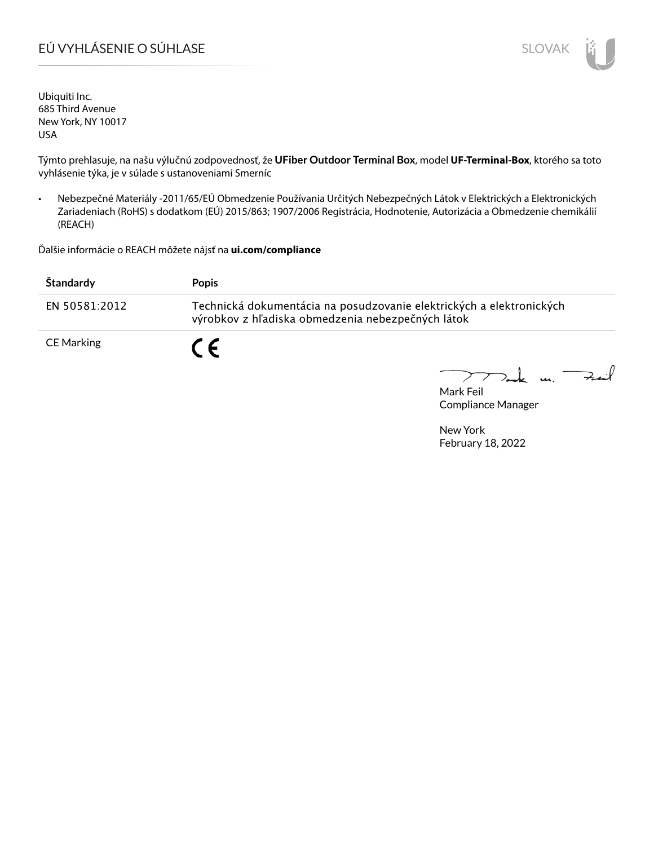# EÚ VYHLÁSENIE O SÚHLASE SLOVAK SLOVAK

Ubiquiti Inc. 685 Third Avenue New York, NY 10017 USA

Týmto prehlasuje, na našu výlučnú zodpovednosť, že **UFiber Outdoor Terminal Box**, model **UF-Terminal-Box**, ktorého sa toto vyhlásenie týka, je v súlade s ustanoveniami Smerníc

• Nebezpečné Materiály -2011/65/EÚ Obmedzenie Používania Určitých Nebezpečných Látok v Elektrických a Elektronických Zariadeniach (RoHS) s dodatkom (EÚ) 2015/863; 1907/2006 Registrácia, Hodnotenie, Autorizácia a Obmedzenie chemikálií (REACH)

Ďalšie informácie o REACH môžete nájsť na **ui.com/compliance**

| Štandardy         | <b>Popis</b>                                                                                                              |
|-------------------|---------------------------------------------------------------------------------------------------------------------------|
| EN 50581:2012     | Technická dokumentácia na posudzovanie elektrických a elektronických<br>výrobkov z hľadiska obmedzenia nebezpečných látok |
| <b>CE Marking</b> | C E                                                                                                                       |

 $\downarrow$  u. Fail  $\geq$ 

Mark Feil Compliance Manager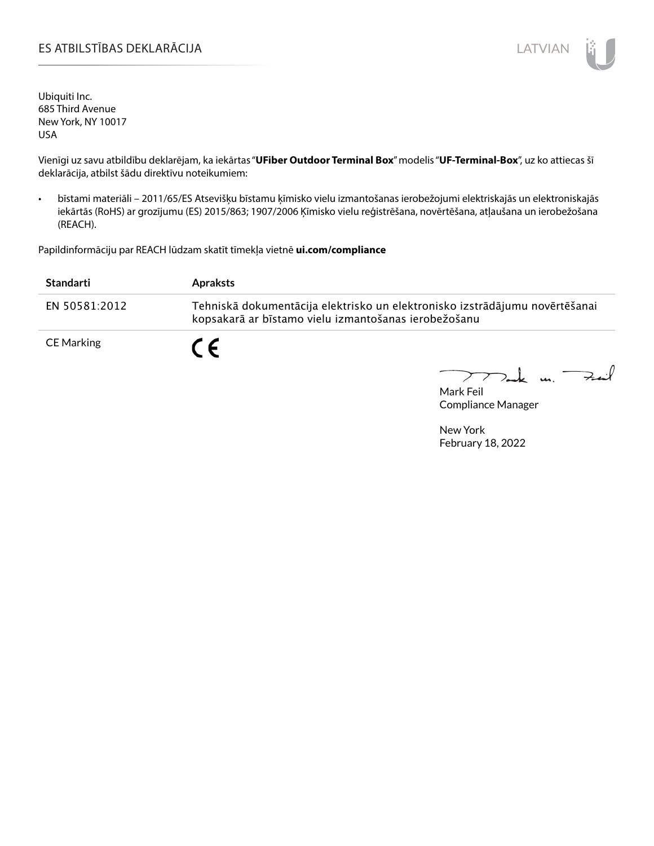#### ES ATBILSTĪBAS DEKLARĀCIJA LATVIAN

Ubiquiti Inc. 685 Third Avenue New York, NY 10017 USA

Vienīgi uz savu atbildību deklarējam, ka iekārtas "**UFiber Outdoor Terminal Box**" modelis "**UF-Terminal-Box**", uz ko attiecas šī deklarācija, atbilst šādu direktīvu noteikumiem:

• bīstami materiāli – 2011/65/ES Atsevišķu bīstamu ķīmisko vielu izmantošanas ierobežojumi elektriskajās un elektroniskajās iekārtās (RoHS) ar grozījumu (ES) 2015/863; 1907/2006 Ķīmisko vielu reģistrēšana, novērtēšana, atļaušana un ierobežošana (REACH).

Papildinformāciju par REACH lūdzam skatīt tīmekļa vietnē **ui.com/compliance**

| Standarti         | <b>Apraksts</b>                                                                                                                     |
|-------------------|-------------------------------------------------------------------------------------------------------------------------------------|
| EN 50581:2012     | Tehniskā dokumentācija elektrisko un elektronisko izstrādājumu novērtēšanai<br>kopsakarā ar bīstamo vielu izmantošanas ierobežošanu |
| <b>CE Marking</b> | C F                                                                                                                                 |

 $\downarrow$  m.  $\rightarrow$  $\triangleright$  $\sum_{i=1}^{n}$ 

Mark Feil Compliance Manager